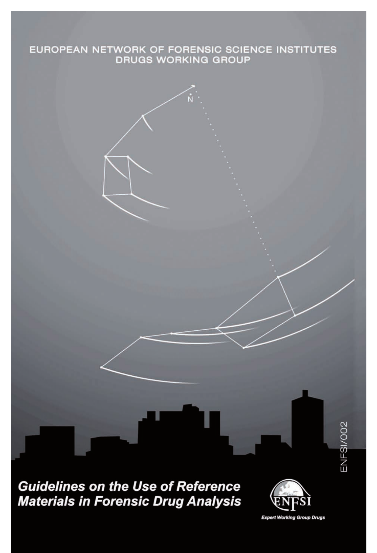# EUROPEAN NETWORK OF FORENSIC SCIENCE INSTITUTES<br>DRUGS WORKING GROUP

**Guidelines on the Use of Reference Materials in Forensic Drug Analysis** 



ENFSI/002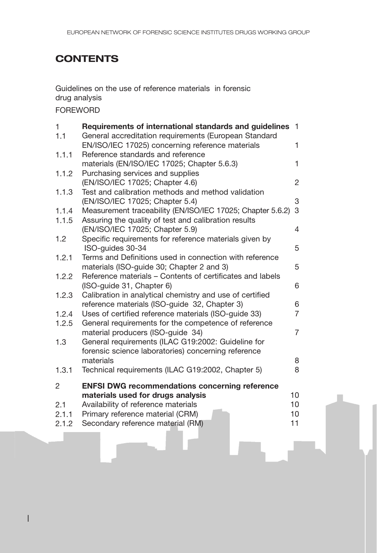## **CONTENTS**

Guidelines on the use of reference materials in forensic drug analysis

FOREWORD

I

| 1              | Requirements of international standards and guidelines     | $\overline{1}$ |
|----------------|------------------------------------------------------------|----------------|
| 1.1            | General accreditation requirements (European Standard      |                |
|                | EN/ISO/IEC 17025) concerning reference materials           | 1              |
| 1.1.1          | Reference standards and reference                          |                |
|                | materials (EN/ISO/IEC 17025; Chapter 5.6.3)                | 1              |
| 1.1.2          | Purchasing services and supplies                           |                |
|                | (EN/ISO/IEC 17025; Chapter 4.6)                            | 2              |
| 1.1.3          | Test and calibration methods and method validation         |                |
|                | (EN/ISO/IEC 17025; Chapter 5.4)                            | 3              |
| 1.1.4          | Measurement traceability (EN/ISO/IEC 17025; Chapter 5.6.2) | 3              |
| 1.1.5          | Assuring the quality of test and calibration results       |                |
|                | (EN/ISO/IEC 17025; Chapter 5.9)                            | 4              |
| 1.2            | Specific requirements for reference materials given by     |                |
|                | ISO-guides 30-34                                           | 5              |
| 1.2.1          | Terms and Definitions used in connection with reference    |                |
|                | materials (ISO-guide 30; Chapter 2 and 3)                  | 5              |
| 1.2.2          | Reference materials – Contents of certificates and labels  |                |
|                | (ISO-guide 31, Chapter 6)                                  | 6              |
| 1.2.3          | Calibration in analytical chemistry and use of certified   |                |
|                | reference materials (ISO-guide 32, Chapter 3)              | 6              |
| 1.2.4          | Uses of certified reference materials (ISO-guide 33)       | $\overline{7}$ |
| 1.2.5          | General requirements for the competence of reference       |                |
|                | material producers (ISO-guide 34)                          | $\overline{7}$ |
| 1.3            | General requirements (ILAC G19:2002: Guideline for         |                |
|                | forensic science laboratories) concerning reference        |                |
|                | materials                                                  | 8              |
| 1.3.1          | Technical requirements (ILAC G19:2002, Chapter 5)          | 8              |
| $\mathfrak{p}$ | <b>ENFSI DWG recommendations concerning reference</b>      |                |
|                | materials used for drugs analysis                          | 10             |
| 2.1            | Availability of reference materials                        | 10             |
| 2.1.1          | Primary reference material (CRM)                           | 10             |
| 2.1.2          | Secondary reference material (RM)                          | 11             |
|                |                                                            |                |
|                |                                                            |                |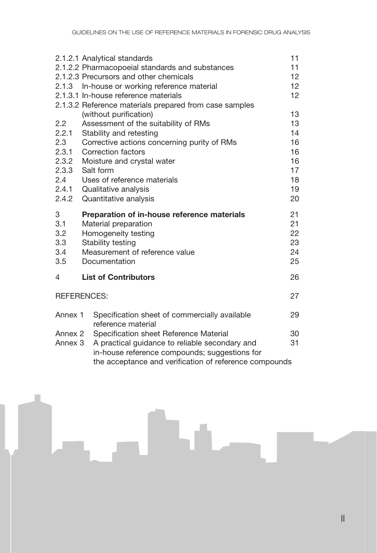|         | 2.1.2.1 Analytical standards                                                                            | 11              |  |
|---------|---------------------------------------------------------------------------------------------------------|-----------------|--|
|         | 2.1.2.2 Pharmacopoeial standards and substances                                                         | 11              |  |
|         | 2.1.2.3 Precursors and other chemicals                                                                  | 12 <sup>2</sup> |  |
|         | 2.1.3 In-house or working reference material                                                            | 12 <sup>2</sup> |  |
|         | 2.1.3.1 In-house reference materials                                                                    | 12              |  |
|         | 2.1.3.2 Reference materials prepared from case samples                                                  |                 |  |
|         | (without purification)                                                                                  | 13              |  |
| 2.2     | Assessment of the suitability of RMs                                                                    | 13              |  |
| 2.2.1   | Stability and retesting                                                                                 | 14              |  |
| 2.3     | Corrective actions concerning purity of RMs                                                             | 16              |  |
| 2.3.1   | Correction factors                                                                                      | 16              |  |
|         | 2.3.2 Moisture and crystal water                                                                        | 16              |  |
| 2.3.3   | Salt form                                                                                               | 17              |  |
| 2.4     | Uses of reference materials                                                                             | 18              |  |
| 2.4.1   | Qualitative analysis                                                                                    | 19              |  |
| 2.4.2   | Quantitative analysis                                                                                   | 20              |  |
| 3       | Preparation of in-house reference materials                                                             | 21              |  |
| 3.1     | Material preparation                                                                                    |                 |  |
| 3.2     | Homogeneity testing                                                                                     |                 |  |
|         | Stability testing                                                                                       |                 |  |
| 3.3     |                                                                                                         | 23              |  |
| 3.4     | Measurement of reference value                                                                          | 24              |  |
| 3.5     | Documentation                                                                                           | 25              |  |
| 4       | <b>List of Contributors</b>                                                                             | 26              |  |
|         | <b>REFERENCES:</b>                                                                                      | 27              |  |
| Annex 1 | Specification sheet of commercially available                                                           | 29              |  |
|         | reference material                                                                                      |                 |  |
| Annex 2 | Specification sheet Reference Material                                                                  | 30              |  |
| Annex 3 | A practical guidance to reliable secondary and                                                          | 31              |  |
|         | in-house reference compounds; suggestions for<br>the acceptance and verification of reference compounds |                 |  |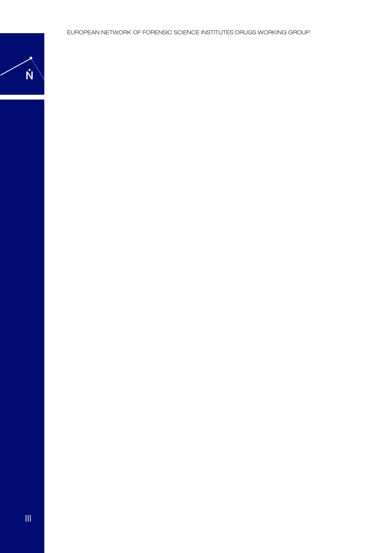EUROPEAN NETWORK OF FORENSIC SCIENCE INSTITUTES DRUGS WORKING GROUP

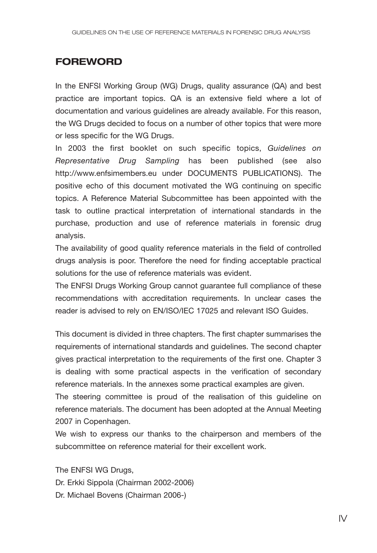### **FOREWORD**

In the ENFSI Working Group (WG) Drugs, quality assurance (QA) and best practice are important topics. QA is an extensive field where a lot of documentation and various guidelines are already available. For this reason, the WG Drugs decided to focus on a number of other topics that were more or less specific for the WG Drugs.

In 2003 the first booklet on such specific topics, Guidelines on Representative Drug Sampling has been published (see also http://www.enfsimembers.eu under DOCUMENTS PUBLICATIONS). The positive echo of this document motivated the WG continuing on specific topics. A Reference Material Subcommittee has been appointed with the task to outline practical interpretation of international standards in the purchase, production and use of reference materials in forensic drug analysis.

The availability of good quality reference materials in the field of controlled drugs analysis is poor. Therefore the need for finding acceptable practical solutions for the use of reference materials was evident.

The ENFSI Drugs Working Group cannot guarantee full compliance of these recommendations with accreditation requirements. In unclear cases the reader is advised to rely on EN/ISO/IEC 17025 and relevant ISO Guides.

This document is divided in three chapters. The first chapter summarises the requirements of international standards and guidelines. The second chapter gives practical interpretation to the requirements of the first one. Chapter 3 is dealing with some practical aspects in the verification of secondary reference materials. In the annexes some practical examples are given.

The steering committee is proud of the realisation of this guideline on reference materials. The document has been adopted at the Annual Meeting 2007 in Copenhagen.

We wish to express our thanks to the chairperson and members of the subcommittee on reference material for their excellent work.

The ENFSI WG Drugs, Dr. Erkki Sippola (Chairman 2002-2006) Dr. Michael Bovens (Chairman 2006-)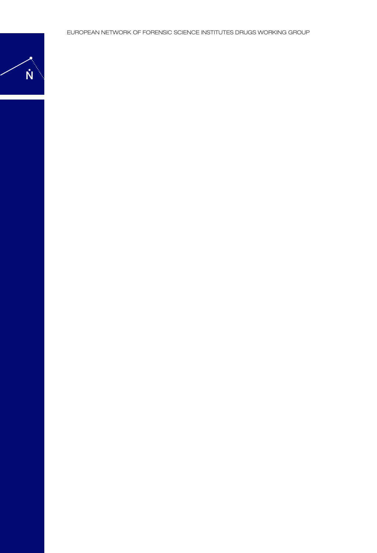EUROPEAN NETWORK OF FORENSIC SCIENCE INSTITUTES DRUGS WORKING GROUP

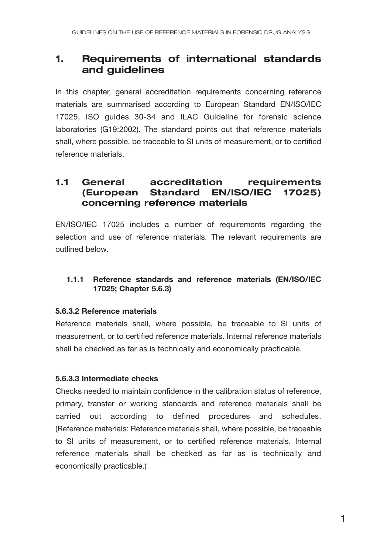### **1. Requirements of international standards and guidelines**

In this chapter, general accreditation requirements concerning reference materials are summarised according to European Standard EN/ISO/IEC 17025, ISO guides 30-34 and ILAC Guideline for forensic science laboratories (G19:2002). The standard points out that reference materials shall, where possible, be traceable to SI units of measurement, or to certified reference materials.

### **1.1 General accreditation requirements (European Standard EN/ISO/IEC 17025) concerning reference materials**

EN/ISO/IEC 17025 includes a number of requirements regarding the selection and use of reference materials. The relevant requirements are outlined below.

#### **1.1.1 Reference standards and reference materials (EN/ISO/IEC 17025; Chapter 5.6.3)**

#### **5.6.3.2 Reference materials**

Reference materials shall, where possible, be traceable to SI units of measurement, or to certified reference materials. Internal reference materials shall be checked as far as is technically and economically practicable.

#### **5.6.3.3 Intermediate checks**

Checks needed to maintain confidence in the calibration status of reference, primary, transfer or working standards and reference materials shall be carried out according to defined procedures and schedules. (Reference materials: Reference materials shall, where possible, be traceable to SI units of measurement, or to certified reference materials. Internal reference materials shall be checked as far as is technically and economically practicable.)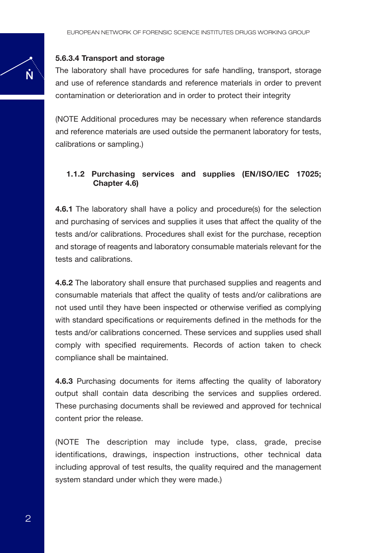#### **5.6.3.4 Transport and storage**

**N •**

**•**

The laboratory shall have procedures for safe handling, transport, storage and use of reference standards and reference materials in order to prevent contamination or deterioration and in order to protect their integrity

(NOTE Additional procedures may be necessary when reference standards and reference materials are used outside the permanent laboratory for tests, calibrations or sampling.)

#### **1.1.2 Purchasing services and supplies (EN/ISO/IEC 17025; Chapter 4.6)**

**4.6.1** The laboratory shall have a policy and procedure(s) for the selection and purchasing of services and supplies it uses that affect the quality of the tests and/or calibrations. Procedures shall exist for the purchase, reception and storage of reagents and laboratory consumable materials relevant for the tests and calibrations.

**4.6.2** The laboratory shall ensure that purchased supplies and reagents and consumable materials that affect the quality of tests and/or calibrations are not used until they have been inspected or otherwise verified as complying with standard specifications or requirements defined in the methods for the tests and/or calibrations concerned. These services and supplies used shall comply with specified requirements. Records of action taken to check compliance shall be maintained.

**4.6.3** Purchasing documents for items affecting the quality of laboratory output shall contain data describing the services and supplies ordered. These purchasing documents shall be reviewed and approved for technical content prior the release.

(NOTE The description may include type, class, grade, precise identifications, drawings, inspection instructions, other technical data including approval of test results, the quality required and the management system standard under which they were made.)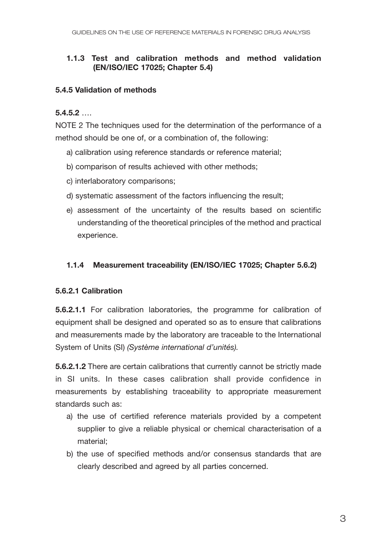### **1.1.3 Test and calibration methods and method validation (EN/ISO/IEC 17025; Chapter 5.4)**

#### **5.4.5 Validation of methods**

#### **5.4.5.2** ….

NOTE 2 The techniques used for the determination of the performance of a method should be one of, or a combination of, the following:

- a) calibration using reference standards or reference material;
- b) comparison of results achieved with other methods;
- c) interlaboratory comparisons;
- d) systematic assessment of the factors influencing the result;
- e) assessment of the uncertainty of the results based on scientific understanding of the theoretical principles of the method and practical experience.

#### **1.1.4 Measurement traceability (EN/ISO/IEC 17025; Chapter 5.6.2)**

#### **5.6.2.1 Calibration**

**5.6.2.1.1** For calibration laboratories, the programme for calibration of equipment shall be designed and operated so as to ensure that calibrations and measurements made by the laboratory are traceable to the International System of Units (SI) (Système international d'unités).

**5.6.2.1.2** There are certain calibrations that currently cannot be strictly made in SI units. In these cases calibration shall provide confidence in measurements by establishing traceability to appropriate measurement standards such as:

- a) the use of certified reference materials provided by a competent supplier to give a reliable physical or chemical characterisation of a material;
- b) the use of specified methods and/or consensus standards that are clearly described and agreed by all parties concerned.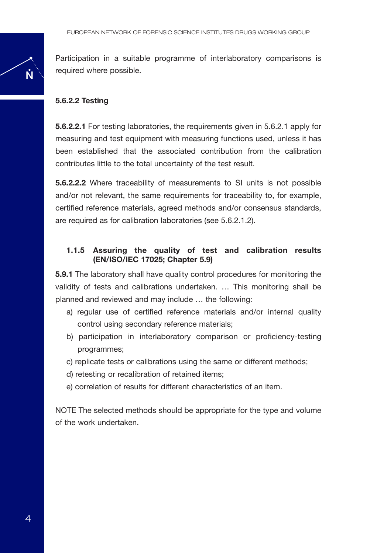**N ••**

Participation in a suitable programme of interlaboratory comparisons is required where possible.

#### **5.6.2.2 Testing**

**5.6.2.2.1** For testing laboratories, the requirements given in 5.6.2.1 apply for measuring and test equipment with measuring functions used, unless it has been established that the associated contribution from the calibration contributes little to the total uncertainty of the test result.

**5.6.2.2.2** Where traceability of measurements to SI units is not possible and/or not relevant, the same requirements for traceability to, for example, certified reference materials, agreed methods and/or consensus standards, are required as for calibration laboratories (see 5.6.2.1.2).

#### **1.1.5 Assuring the quality of test and calibration results (EN/ISO/IEC 17025; Chapter 5.9)**

**5.9.1** The laboratory shall have quality control procedures for monitoring the validity of tests and calibrations undertaken. … This monitoring shall be planned and reviewed and may include … the following:

- a) regular use of certified reference materials and/or internal quality control using secondary reference materials;
- b) participation in interlaboratory comparison or proficiency-testing programmes;
- c) replicate tests or calibrations using the same or different methods;
- d) retesting or recalibration of retained items;
- e) correlation of results for different characteristics of an item.

NOTE The selected methods should be appropriate for the type and volume of the work undertaken.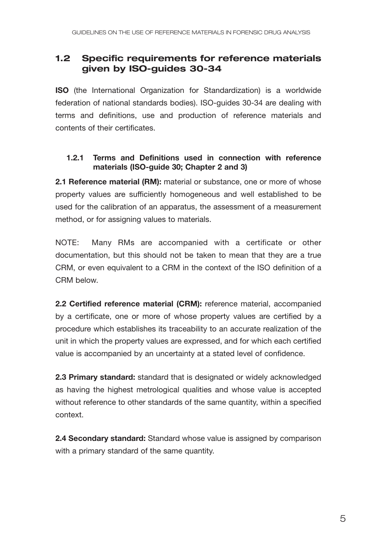### **1.2 Specific requirements for reference materials given by ISO-guides 30-34**

**ISO** (the International Organization for Standardization) is a worldwide federation of national standards bodies). ISO-guides 30-34 are dealing with terms and definitions, use and production of reference materials and contents of their certificates.

#### **1.2.1 Terms and Definitions used in connection with reference materials (ISO-guide 30; Chapter 2 and 3)**

**2.1 Reference material (RM):** material or substance, one or more of whose property values are sufficiently homogeneous and well established to be used for the calibration of an apparatus, the assessment of a measurement method, or for assigning values to materials.

NOTE: Many RMs are accompanied with a certificate or other documentation, but this should not be taken to mean that they are a true CRM, or even equivalent to a CRM in the context of the ISO definition of a CRM below.

**2.2 Certified reference material (CRM):** reference material, accompanied by a certificate, one or more of whose property values are certified by a procedure which establishes its traceability to an accurate realization of the unit in which the property values are expressed, and for which each certified value is accompanied by an uncertainty at a stated level of confidence.

**2.3 Primary standard:** standard that is designated or widely acknowledged as having the highest metrological qualities and whose value is accepted without reference to other standards of the same quantity, within a specified context.

**2.4 Secondary standard:** Standard whose value is assigned by comparison with a primary standard of the same quantity.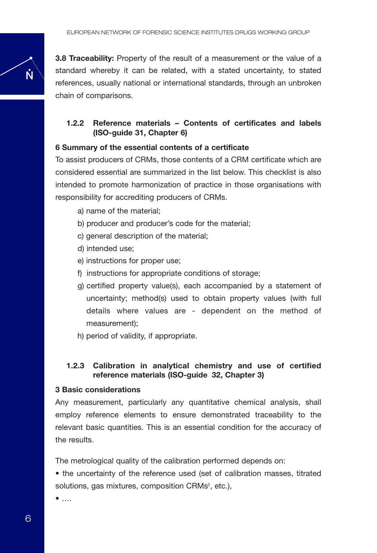**3.8 Traceability:** Property of the result of a measurement or the value of a standard whereby it can be related, with a stated uncertainty, to stated references, usually national or international standards, through an unbroken chain of comparisons.

#### **1.2.2 Reference materials – Contents of certificates and labels (ISO-guide 31, Chapter 6)**

#### **6 Summary of the essential contents of a certificate**

To assist producers of CRMs, those contents of a CRM certificate which are considered essential are summarized in the list below. This checklist is also intended to promote harmonization of practice in those organisations with responsibility for accrediting producers of CRMs.

- a) name of the material;
- b) producer and producer's code for the material;
- c) general description of the material;
- d) intended use;
- e) instructions for proper use;
- f) instructions for appropriate conditions of storage;
- g) certified property value(s), each accompanied by a statement of uncertainty; method(s) used to obtain property values (with full details where values are - dependent on the method of measurement);
- h) period of validity, if appropriate.

#### **1.2.3 Calibration in analytical chemistry and use of certified reference materials (ISO-guide 32, Chapter 3)**

#### **3 Basic considerations**

Any measurement, particularly any quantitative chemical analysis, shall employ reference elements to ensure demonstrated traceability to the relevant basic quantities. This is an essential condition for the accuracy of the results.

The metrological quality of the calibration performed depends on:

• the uncertainty of the reference used (set of calibration masses, titrated solutions, gas mixtures, composition CRMs<sup>2</sup>, etc.),

 $\bullet$  ….

**N •**

**•**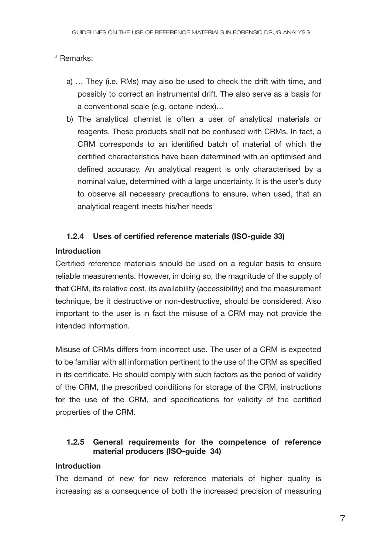<sup>2</sup> Remarks:

- a) … They (i.e. RMs) may also be used to check the drift with time, and possibly to correct an instrumental drift. The also serve as a basis for a conventional scale (e.g. octane index)…
- b) The analytical chemist is often a user of analytical materials or reagents. These products shall not be confused with CRMs. In fact, a CRM corresponds to an identified batch of material of which the certified characteristics have been determined with an optimised and defined accuracy. An analytical reagent is only characterised by a nominal value, determined with a large uncertainty. It is the user's duty to observe all necessary precautions to ensure, when used, that an analytical reagent meets his/her needs

#### **1.2.4 Uses of certified reference materials (ISO-guide 33)**

#### **Introduction**

Certified reference materials should be used on a regular basis to ensure reliable measurements. However, in doing so, the magnitude of the supply of that CRM, its relative cost, its availability (accessibility) and the measurement technique, be it destructive or non-destructive, should be considered. Also important to the user is in fact the misuse of a CRM may not provide the intended information.

Misuse of CRMs differs from incorrect use. The user of a CRM is expected to be familiar with all information pertinent to the use of the CRM as specified in its certificate. He should comply with such factors as the period of validity of the CRM, the prescribed conditions for storage of the CRM, instructions for the use of the CRM, and specifications for validity of the certified properties of the CRM.

#### **1.2.5 General requirements for the competence of reference material producers (ISO-guide 34)**

#### **Introduction**

The demand of new for new reference materials of higher quality is increasing as a consequence of both the increased precision of measuring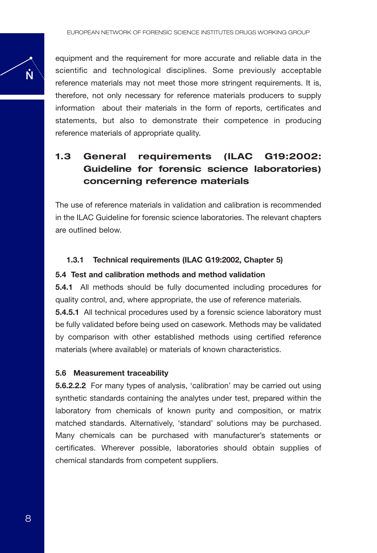equipment and the requirement for more accurate and reliable data in the scientific and technological disciplines. Some previously acceptable reference materials may not meet those more stringent requirements. It is, therefore, not only necessary for reference materials producers to supply information about their materials in the form of reports, certificates and statements, but also to demonstrate their competence in producing reference materials of appropriate quality.

### **1.3 General requirements (ILAC G19:2002: Guideline for forensic science laboratories) concerning reference materials**

The use of reference materials in validation and calibration is recommended in the ILAC Guideline for forensic science laboratories. The relevant chapters are outlined below.

#### **1.3.1 Technical requirements (ILAC G19:2002, Chapter 5)**

#### **5.4 Test and calibration methods and method validation**

**5.4.1** All methods should be fully documented including procedures for quality control, and, where appropriate, the use of reference materials.

**5.4.5.1** All technical procedures used by a forensic science laboratory must be fully validated before being used on casework. Methods may be validated by comparison with other established methods using certified reference materials (where available) or materials of known characteristics.

#### **5.6 Measurement traceability**

**5.6.2.2.2** For many types of analysis, 'calibration' may be carried out using synthetic standards containing the analytes under test, prepared within the laboratory from chemicals of known purity and composition, or matrix matched standards. Alternatively, 'standard' solutions may be purchased. Many chemicals can be purchased with manufacturer's statements or certificates. Wherever possible, laboratories should obtain supplies of chemical standards from competent suppliers.

**N •**

**•**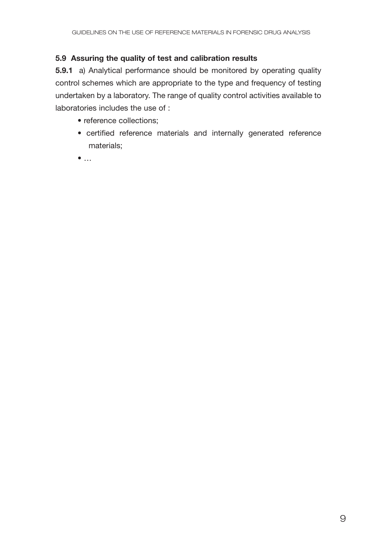### **5.9 Assuring the quality of test and calibration results**

**5.9.1** a) Analytical performance should be monitored by operating quality control schemes which are appropriate to the type and frequency of testing undertaken by a laboratory. The range of quality control activities available to laboratories includes the use of :

- reference collections;
- certified reference materials and internally generated reference materials;
- $\bullet$  …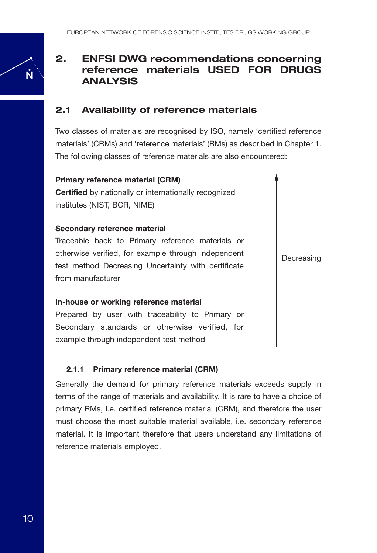**N • •**

### **2. ENFSI DWG recommendations concerning reference materials USED FOR DRUGS ANALYSIS**

#### **2.1 Availability of reference materials**

Two classes of materials are recognised by ISO, namely 'certified reference materials' (CRMs) and 'reference materials' (RMs) as described in Chapter 1. The following classes of reference materials are also encountered:



#### **2.1.1 Primary reference material (CRM)**

Generally the demand for primary reference materials exceeds supply in terms of the range of materials and availability. It is rare to have a choice of primary RMs, i.e. certified reference material (CRM), and therefore the user must choose the most suitable material available, i.e. secondary reference material. It is important therefore that users understand any limitations of reference materials employed.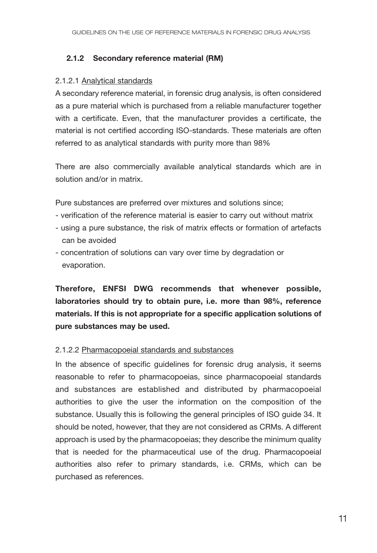#### **2.1.2 Secondary reference material (RM)**

#### 2.1.2.1 Analytical standards

A secondary reference material, in forensic drug analysis, is often considered as a pure material which is purchased from a reliable manufacturer together with a certificate. Even, that the manufacturer provides a certificate, the material is not certified according ISO-standards. These materials are often referred to as analytical standards with purity more than 98%

There are also commercially available analytical standards which are in solution and/or in matrix.

Pure substances are preferred over mixtures and solutions since;

- verification of the reference material is easier to carry out without matrix
- using a pure substance, the risk of matrix effects or formation of artefacts can be avoided
- concentration of solutions can vary over time by degradation or evaporation.

**Therefore, ENFSI DWG recommends that whenever possible, laboratories should try to obtain pure, i.e. more than 98%, reference materials. If this is not appropriate for a specific application solutions of pure substances may be used.**

#### 2.1.2.2 Pharmacopoeial standards and substances

In the absence of specific guidelines for forensic drug analysis, it seems reasonable to refer to pharmacopoeias, since pharmacopoeial standards and substances are established and distributed by pharmacopoeial authorities to give the user the information on the composition of the substance. Usually this is following the general principles of ISO guide 34. It should be noted, however, that they are not considered as CRMs. A different approach is used by the pharmacopoeias; they describe the minimum quality that is needed for the pharmaceutical use of the drug. Pharmacopoeial authorities also refer to primary standards, i.e. CRMs, which can be purchased as references.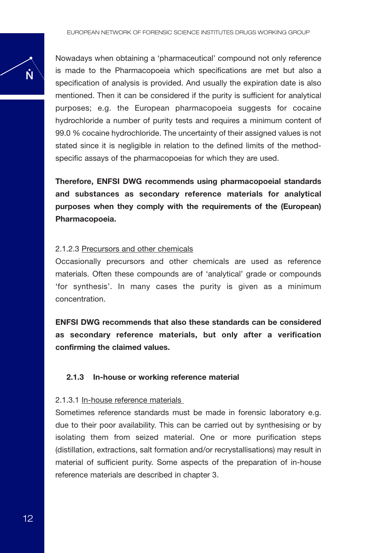

Nowadays when obtaining a 'pharmaceutical' compound not only reference is made to the Pharmacopoeia which specifications are met but also a specification of analysis is provided. And usually the expiration date is also mentioned. Then it can be considered if the purity is sufficient for analytical purposes; e.g. the European pharmacopoeia suggests for cocaine hydrochloride a number of purity tests and requires a minimum content of 99.0 % cocaine hydrochloride. The uncertainty of their assigned values is not stated since it is negligible in relation to the defined limits of the methodspecific assays of the pharmacopoeias for which they are used.

**Therefore, ENFSI DWG recommends using pharmacopoeial standards and substances as secondary reference materials for analytical purposes when they comply with the requirements of the (European) Pharmacopoeia.** 

#### 2.1.2.3 Precursors and other chemicals

Occasionally precursors and other chemicals are used as reference materials. Often these compounds are of 'analytical' grade or compounds 'for synthesis'. In many cases the purity is given as a minimum concentration.

**ENFSI DWG recommends that also these standards can be considered as secondary reference materials, but only after a verification confirming the claimed values.**

#### **2.1.3 In-house or working reference material**

#### 2.1.3.1 In-house reference materials

Sometimes reference standards must be made in forensic laboratory e.g. due to their poor availability. This can be carried out by synthesising or by isolating them from seized material. One or more purification steps (distillation, extractions, salt formation and/or recrystallisations) may result in material of sufficient purity. Some aspects of the preparation of in-house reference materials are described in chapter 3.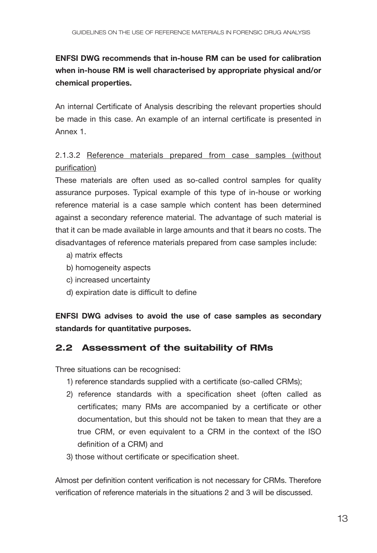### **ENFSI DWG recommends that in-house RM can be used for calibration when in-house RM is well characterised by appropriate physical and/or chemical properties.**

An internal Certificate of Analysis describing the relevant properties should be made in this case. An example of an internal certificate is presented in Annex 1.

### 2.1.3.2 Reference materials prepared from case samples (without purification)

These materials are often used as so-called control samples for quality assurance purposes. Typical example of this type of in-house or working reference material is a case sample which content has been determined against a secondary reference material. The advantage of such material is that it can be made available in large amounts and that it bears no costs. The disadvantages of reference materials prepared from case samples include:

- a) matrix effects
- b) homogeneity aspects
- c) increased uncertainty
- d) expiration date is difficult to define

**ENFSI DWG advises to avoid the use of case samples as secondary standards for quantitative purposes.**

### **2.2 Assessment of the suitability of RMs**

Three situations can be recognised:

- 1) reference standards supplied with a certificate (so-called CRMs);
- 2) reference standards with a specification sheet (often called as certificates; many RMs are accompanied by a certificate or other documentation, but this should not be taken to mean that they are a true CRM, or even equivalent to a CRM in the context of the ISO definition of a CRM) and
- 3) those without certificate or specification sheet.

Almost per definition content verification is not necessary for CRMs. Therefore verification of reference materials in the situations 2 and 3 will be discussed.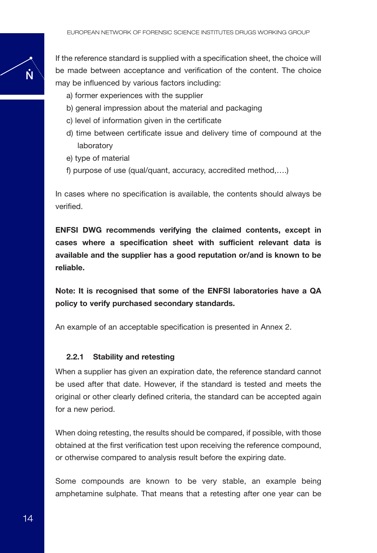

If the reference standard is supplied with a specification sheet, the choice will be made between acceptance and verification of the content. The choice may be influenced by various factors including:

- a) former experiences with the supplier
- b) general impression about the material and packaging
- c) level of information given in the certificate
- d) time between certificate issue and delivery time of compound at the laboratory
- e) type of material
- f) purpose of use (qual/quant, accuracy, accredited method,….)

In cases where no specification is available, the contents should always be verified.

**ENFSI DWG recommends verifying the claimed contents, except in cases where a specification sheet with sufficient relevant data is available and the supplier has a good reputation or/and is known to be reliable.** 

**Note: It is recognised that some of the ENFSI laboratories have a QA policy to verify purchased secondary standards.**

An example of an acceptable specification is presented in Annex 2.

#### **2.2.1 Stability and retesting**

When a supplier has given an expiration date, the reference standard cannot be used after that date. However, if the standard is tested and meets the original or other clearly defined criteria, the standard can be accepted again for a new period.

When doing retesting, the results should be compared, if possible, with those obtained at the first verification test upon receiving the reference compound, or otherwise compared to analysis result before the expiring date.

Some compounds are known to be very stable, an example being amphetamine sulphate. That means that a retesting after one year can be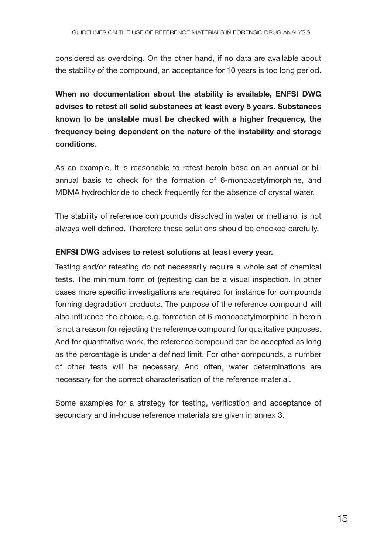considered as overdoing. On the other hand, if no data are available about the stability of the compound, an acceptance for 10 years is too long period.

**When no documentation about the stability is available, ENFSI DWG advises to retest all solid substances at least every 5 years. Substances known to be unstable must be checked with a higher frequency, the frequency being dependent on the nature of the instability and storage conditions.**

As an example, it is reasonable to retest heroin base on an annual or biannual basis to check for the formation of 6-monoacetylmorphine, and MDMA hydrochloride to check frequently for the absence of crystal water.

The stability of reference compounds dissolved in water or methanol is not always well defined. Therefore these solutions should be checked carefully.

#### **ENFSI DWG advises to retest solutions at least every year.**

Testing and/or retesting do not necessarily require a whole set of chemical tests. The minimum form of (re)testing can be a visual inspection. In other cases more specific investigations are required for instance for compounds forming degradation products. The purpose of the reference compound will also influence the choice, e.g. formation of 6-monoacetylmorphine in heroin is not a reason for rejecting the reference compound for qualitative purposes. And for quantitative work, the reference compound can be accepted as long as the percentage is under a defined limit. For other compounds, a number of other tests will be necessary. And often, water determinations are necessary for the correct characterisation of the reference material.

Some examples for a strategy for testing, verification and acceptance of secondary and in-house reference materials are given in annex 3.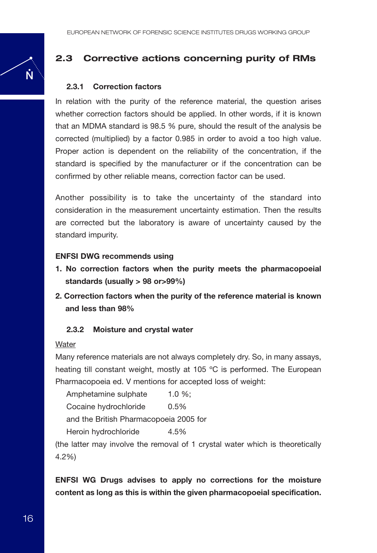### **2.3 Corrective actions concerning purity of RMs**

#### **2.3.1 Correction factors**

**N •**

**•**

In relation with the purity of the reference material, the question arises whether correction factors should be applied. In other words, if it is known that an MDMA standard is 98.5 % pure, should the result of the analysis be corrected (multiplied) by a factor 0.985 in order to avoid a too high value. Proper action is dependent on the reliability of the concentration, if the standard is specified by the manufacturer or if the concentration can be confirmed by other reliable means, correction factor can be used.

Another possibility is to take the uncertainty of the standard into consideration in the measurement uncertainty estimation. Then the results are corrected but the laboratory is aware of uncertainty caused by the standard impurity.

#### **ENFSI DWG recommends using**

- **1. No correction factors when the purity meets the pharmacopoeial standards (usually > 98 or>99%)**
- **2. Correction factors when the purity of the reference material is known and less than 98%**

#### **2.3.2 Moisture and crystal water**

#### **Water**

Many reference materials are not always completely dry. So, in many assays, heating till constant weight, mostly at 105 ºC is performed. The European Pharmacopoeia ed. V mentions for accepted loss of weight:

Amphetamine sulphate 1.0 %; Cocaine hydrochloride 0.5%

and the British Pharmacopoeia 2005 for

Heroin hydrochloride 4.5%

(the latter may involve the removal of 1 crystal water which is theoretically 4.2%)

**ENFSI WG Drugs advises to apply no corrections for the moisture content as long as this is within the given pharmacopoeial specification.**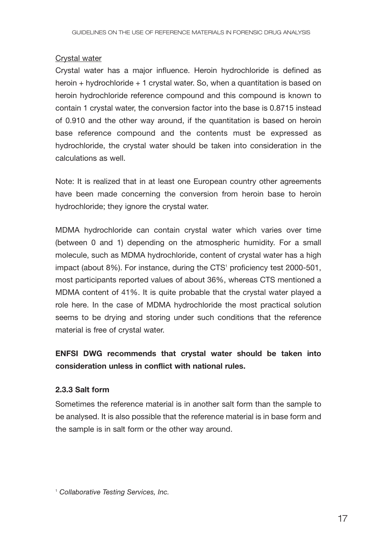#### Crystal water

Crystal water has a major influence. Heroin hydrochloride is defined as heroin + hydrochloride + 1 crystal water. So, when a quantitation is based on heroin hydrochloride reference compound and this compound is known to contain 1 crystal water, the conversion factor into the base is 0.8715 instead of 0.910 and the other way around, if the quantitation is based on heroin base reference compound and the contents must be expressed as hydrochloride, the crystal water should be taken into consideration in the calculations as well.

Note: It is realized that in at least one European country other agreements have been made concerning the conversion from heroin base to heroin hydrochloride; they ignore the crystal water.

MDMA hydrochloride can contain crystal water which varies over time (between 0 and 1) depending on the atmospheric humidity. For a small molecule, such as MDMA hydrochloride, content of crystal water has a high impact (about 8%). For instance, during the CTS<sup>1</sup> proficiency test 2000-501, most participants reported values of about 36%, whereas CTS mentioned a MDMA content of 41%. It is quite probable that the crystal water played a role here. In the case of MDMA hydrochloride the most practical solution seems to be drying and storing under such conditions that the reference material is free of crystal water.

### **ENFSI DWG recommends that crystal water should be taken into consideration unless in conflict with national rules.**

#### **2.3.3 Salt form**

Sometimes the reference material is in another salt form than the sample to be analysed. It is also possible that the reference material is in base form and the sample is in salt form or the other way around.

<sup>1</sup> Collaborative Testing Services, Inc.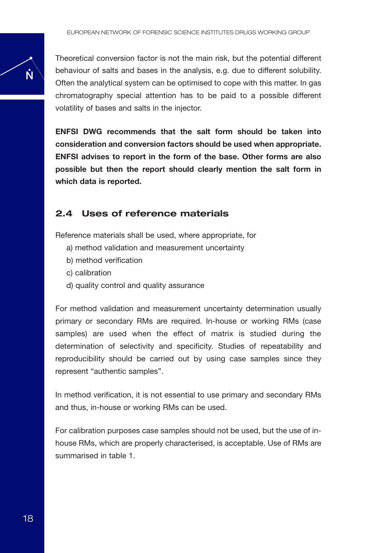Theoretical conversion factor is not the main risk, but the potential different behaviour of salts and bases in the analysis, e.g. due to different solubility. Often the analytical system can be optimised to cope with this matter. In gas chromatography special attention has to be paid to a possible different volatility of bases and salts in the injector.

**ENFSI DWG recommends that the salt form should be taken into consideration and conversion factors should be used when appropriate. ENFSI advises to report in the form of the base. Other forms are also possible but then the report should clearly mention the salt form in which data is reported.** 

### **2.4 Uses of reference materials**

Reference materials shall be used, where appropriate, for

- a) method validation and measurement uncertainty
- b) method verification
- c) calibration
- d) quality control and quality assurance

For method validation and measurement uncertainty determination usually primary or secondary RMs are required. In-house or working RMs (case samples) are used when the effect of matrix is studied during the determination of selectivity and specificity. Studies of repeatability and reproducibility should be carried out by using case samples since they represent "authentic samples".

In method verification, it is not essential to use primary and secondary RMs and thus, in-house or working RMs can be used.

For calibration purposes case samples should not be used, but the use of inhouse RMs, which are properly characterised, is acceptable. Use of RMs are summarised in table 1.

**N •**

**•**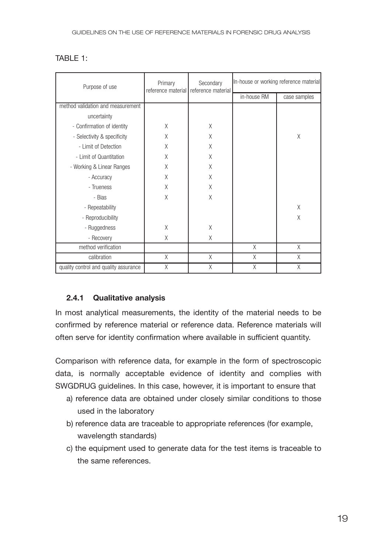| Purpose of use                        | Primary | Secondary<br>reference material reference material | In-house or working reference material |              |
|---------------------------------------|---------|----------------------------------------------------|----------------------------------------|--------------|
|                                       |         |                                                    | in-house RM                            | case samples |
| method validation and measurement     |         |                                                    |                                        |              |
| uncertainty                           |         |                                                    |                                        |              |
| - Confirmation of identity            | X       | X                                                  |                                        |              |
| - Selectivity & specificity           | X       | $\chi$                                             |                                        | X            |
| - Limit of Detection                  | $\chi$  | $\chi$                                             |                                        |              |
| - Limit of Quantitation               | X       | $\chi$                                             |                                        |              |
| - Working & Linear Ranges             | χ       | $\chi$                                             |                                        |              |
| - Accuracy                            | χ       | X                                                  |                                        |              |
| - Trueness                            | $\chi$  | $\chi$                                             |                                        |              |
| - Bias                                | X       | $\chi$                                             |                                        |              |
| - Repeatability                       |         |                                                    |                                        | X            |
| - Reproducibility                     |         |                                                    |                                        | X            |
| - Ruggedness                          | X       | $\chi$                                             |                                        |              |
| - Recovery                            | χ       | X                                                  |                                        |              |
| method verification                   |         |                                                    | X                                      | $\chi$       |
| calibration                           | X       | $\chi$                                             | X                                      | $\chi$       |
| quality control and quality assurance | χ       | X                                                  | X                                      | X            |

#### **2.4.1 Qualitative analysis**

In most analytical measurements, the identity of the material needs to be confirmed by reference material or reference data. Reference materials will often serve for identity confirmation where available in sufficient quantity.

Comparison with reference data, for example in the form of spectroscopic data, is normally acceptable evidence of identity and complies with SWGDRUG guidelines. In this case, however, it is important to ensure that

- a) reference data are obtained under closely similar conditions to those used in the laboratory
- b) reference data are traceable to appropriate references (for example, wavelength standards)
- c) the equipment used to generate data for the test items is traceable to the same references.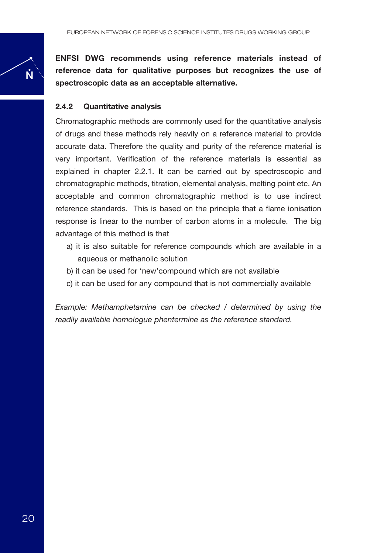**N ••**

**ENFSI DWG recommends using reference materials instead of reference data for qualitative purposes but recognizes the use of spectroscopic data as an acceptable alternative.**

#### **2.4.2 Quantitative analysis**

Chromatographic methods are commonly used for the quantitative analysis of drugs and these methods rely heavily on a reference material to provide accurate data. Therefore the quality and purity of the reference material is very important. Verification of the reference materials is essential as explained in chapter 2.2.1. It can be carried out by spectroscopic and chromatographic methods, titration, elemental analysis, melting point etc. An acceptable and common chromatographic method is to use indirect reference standards. This is based on the principle that a flame ionisation response is linear to the number of carbon atoms in a molecule. The big advantage of this method is that

- a) it is also suitable for reference compounds which are available in a aqueous or methanolic solution
- b) it can be used for 'new'compound which are not available
- c) it can be used for any compound that is not commercially available

Example: Methamphetamine can be checked / determined by using the readily available homologue phentermine as the reference standard.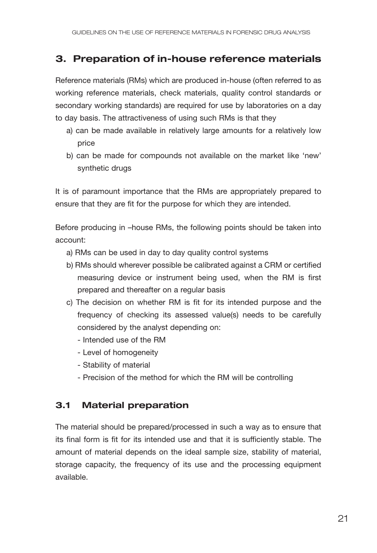### **3. Preparation of in-house reference materials**

Reference materials (RMs) which are produced in-house (often referred to as working reference materials, check materials, quality control standards or secondary working standards) are required for use by laboratories on a day to day basis. The attractiveness of using such RMs is that they

- a) can be made available in relatively large amounts for a relatively low price
- b) can be made for compounds not available on the market like 'new' synthetic drugs

It is of paramount importance that the RMs are appropriately prepared to ensure that they are fit for the purpose for which they are intended.

Before producing in –house RMs, the following points should be taken into account:

- a) RMs can be used in day to day quality control systems
- b) RMs should wherever possible be calibrated against a CRM or certified measuring device or instrument being used, when the RM is first prepared and thereafter on a regular basis
- c) The decision on whether RM is fit for its intended purpose and the frequency of checking its assessed value(s) needs to be carefully considered by the analyst depending on:
	- Intended use of the RM
	- Level of homogeneity
	- Stability of material
	- Precision of the method for which the RM will be controlling

### **3.1 Material preparation**

The material should be prepared/processed in such a way as to ensure that its final form is fit for its intended use and that it is sufficiently stable. The amount of material depends on the ideal sample size, stability of material, storage capacity, the frequency of its use and the processing equipment available.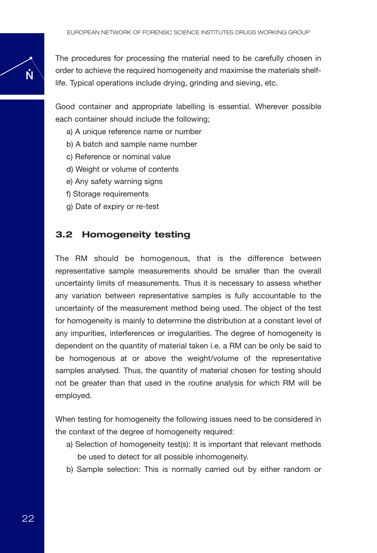**N ••**

The procedures for processing the material need to be carefully chosen in order to achieve the required homogeneity and maximise the materials shelflife. Typical operations include drying, grinding and sieving, etc.

Good container and appropriate labelling is essential. Wherever possible each container should include the following;

- a) A unique reference name or number
- b) A batch and sample name number
- c) Reference or nominal value
- d) Weight or volume of contents
- e) Any safety warning signs
- f) Storage requirements
- g) Date of expiry or re-test

#### **3.2 Homogeneity testing**

The RM should be homogenous, that is the difference between representative sample measurements should be smaller than the overall uncertainty limits of measurements. Thus it is necessary to assess whether any variation between representative samples is fully accountable to the uncertainty of the measurement method being used. The object of the test for homogeneity is mainly to determine the distribution at a constant level of any impurities, interferences or irregularities. The degree of homogeneity is dependent on the quantity of material taken i.e. a RM can be only be said to be homogenous at or above the weight/volume of the representative samples analysed. Thus, the quantity of material chosen for testing should not be greater than that used in the routine analysis for which RM will be employed.

When testing for homogeneity the following issues need to be considered in the context of the degree of homogeneity required:

- a) Selection of homogeneity test(s): It is important that relevant methods be used to detect for all possible inhomogeneity.
- b) Sample selection: This is normally carried out by either random or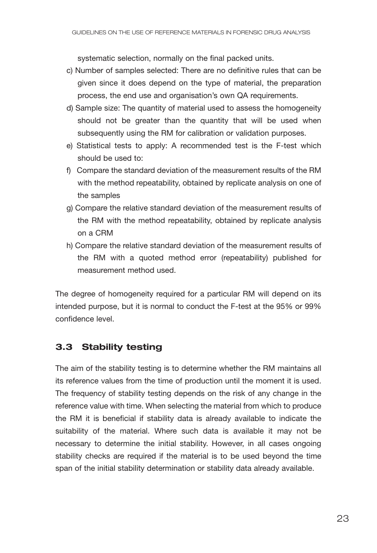systematic selection, normally on the final packed units.

- c) Number of samples selected: There are no definitive rules that can be given since it does depend on the type of material, the preparation process, the end use and organisation's own QA requirements.
- d) Sample size: The quantity of material used to assess the homogeneity should not be greater than the quantity that will be used when subsequently using the RM for calibration or validation purposes.
- e) Statistical tests to apply: A recommended test is the F-test which should be used to:
- f) Compare the standard deviation of the measurement results of the RM with the method repeatability, obtained by replicate analysis on one of the samples
- g) Compare the relative standard deviation of the measurement results of the RM with the method repeatability, obtained by replicate analysis on a CRM
- h) Compare the relative standard deviation of the measurement results of the RM with a quoted method error (repeatability) published for measurement method used.

The degree of homogeneity required for a particular RM will depend on its intended purpose, but it is normal to conduct the F-test at the 95% or 99% confidence level.

### **3.3 Stability testing**

The aim of the stability testing is to determine whether the RM maintains all its reference values from the time of production until the moment it is used. The frequency of stability testing depends on the risk of any change in the reference value with time. When selecting the material from which to produce the RM it is beneficial if stability data is already available to indicate the suitability of the material. Where such data is available it may not be necessary to determine the initial stability. However, in all cases ongoing stability checks are required if the material is to be used beyond the time span of the initial stability determination or stability data already available.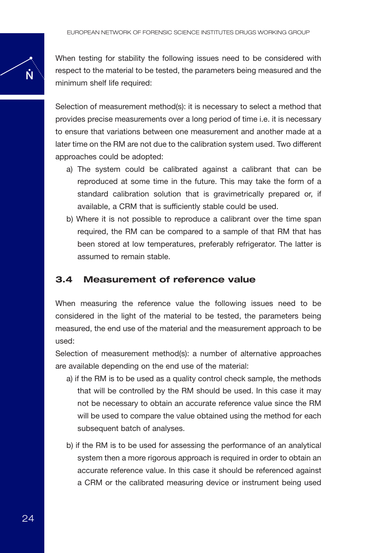When testing for stability the following issues need to be considered with respect to the material to be tested, the parameters being measured and the minimum shelf life required:

Selection of measurement method(s): it is necessary to select a method that provides precise measurements over a long period of time i.e. it is necessary to ensure that variations between one measurement and another made at a later time on the RM are not due to the calibration system used. Two different approaches could be adopted:

- a) The system could be calibrated against a calibrant that can be reproduced at some time in the future. This may take the form of a standard calibration solution that is gravimetrically prepared or, if available, a CRM that is sufficiently stable could be used.
- b) Where it is not possible to reproduce a calibrant over the time span required, the RM can be compared to a sample of that RM that has been stored at low temperatures, preferably refrigerator. The latter is assumed to remain stable.

### **3.4 Measurement of reference value**

When measuring the reference value the following issues need to be considered in the light of the material to be tested, the parameters being measured, the end use of the material and the measurement approach to be used:

Selection of measurement method(s): a number of alternative approaches are available depending on the end use of the material:

- a) if the RM is to be used as a quality control check sample, the methods that will be controlled by the RM should be used. In this case it may not be necessary to obtain an accurate reference value since the RM will be used to compare the value obtained using the method for each subsequent batch of analyses.
- b) if the RM is to be used for assessing the performance of an analytical system then a more rigorous approach is required in order to obtain an accurate reference value. In this case it should be referenced against a CRM or the calibrated measuring device or instrument being used

**N •**

**•**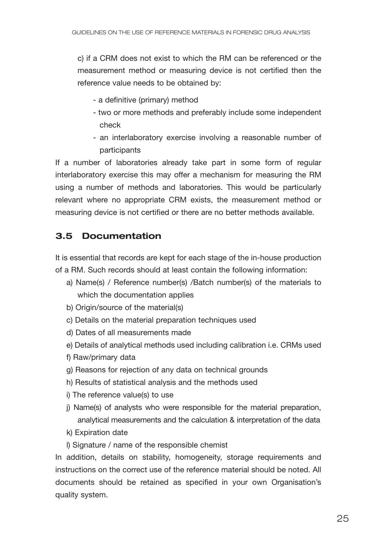c) if a CRM does not exist to which the RM can be referenced or the measurement method or measuring device is not certified then the reference value needs to be obtained by:

- a definitive (primary) method
- two or more methods and preferably include some independent check
- an interlaboratory exercise involving a reasonable number of participants

If a number of laboratories already take part in some form of regular interlaboratory exercise this may offer a mechanism for measuring the RM using a number of methods and laboratories. This would be particularly relevant where no appropriate CRM exists, the measurement method or measuring device is not certified or there are no better methods available.

### **3.5 Documentation**

It is essential that records are kept for each stage of the in-house production of a RM. Such records should at least contain the following information:

- a) Name(s) / Reference number(s) /Batch number(s) of the materials to which the documentation applies
- b) Origin/source of the material(s)
- c) Details on the material preparation techniques used
- d) Dates of all measurements made
- e) Details of analytical methods used including calibration i.e. CRMs used
- f) Raw/primary data
- g) Reasons for rejection of any data on technical grounds
- h) Results of statistical analysis and the methods used
- i) The reference value(s) to use
- j) Name(s) of analysts who were responsible for the material preparation, analytical measurements and the calculation & interpretation of the data
- k) Expiration date
- l) Signature / name of the responsible chemist

In addition, details on stability, homogeneity, storage requirements and instructions on the correct use of the reference material should be noted. All documents should be retained as specified in your own Organisation's quality system.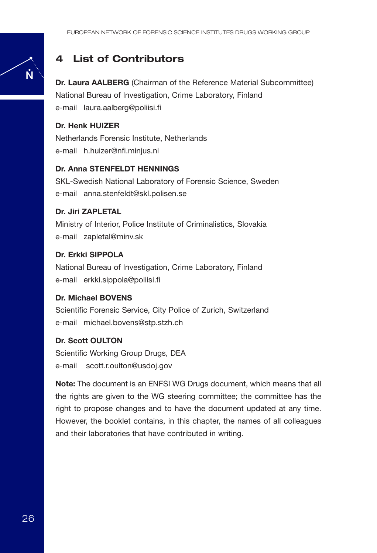### **4 List of Contributors**

**Dr. Laura AALBERG** (Chairman of the Reference Material Subcommittee) National Bureau of Investigation, Crime Laboratory, Finland e-mail laura.aalberg@poliisi.fi

#### **Dr. Henk HUIZER**

**N •**

**•**

Netherlands Forensic Institute, Netherlands e-mail h.huizer@nfi.minjus.nl

#### **Dr. Anna STENFELDT HENNINGS**

SKL-Swedish National Laboratory of Forensic Science, Sweden e-mail anna.stenfeldt@skl.polisen.se

### **Dr. Jiri ZAPLETAL**

Ministry of Interior, Police Institute of Criminalistics, Slovakia e-mail zapletal@minv.sk

#### **Dr. Erkki SIPPOLA**

National Bureau of Investigation, Crime Laboratory, Finland e-mail erkki.sippola@poliisi.fi

#### **Dr. Michael BOVENS**

Scientific Forensic Service, City Police of Zurich, Switzerland e-mail michael.bovens@stp.stzh.ch

#### **Dr. Scott OULTON**

Scientific Working Group Drugs, DEA e-mail scott.r.oulton@usdoj.gov

**Note:** The document is an ENFSI WG Drugs document, which means that all the rights are given to the WG steering committee; the committee has the right to propose changes and to have the document updated at any time. However, the booklet contains, in this chapter, the names of all colleagues and their laboratories that have contributed in writing.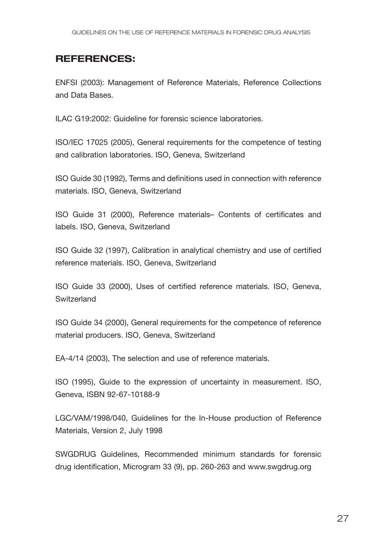### **REFERENCES:**

ENFSI (2003): Management of Reference Materials, Reference Collections and Data Bases.

ILAC G19:2002: Guideline for forensic science laboratories.

ISO/IEC 17025 (2005), General requirements for the competence of testing and calibration laboratories. ISO, Geneva, Switzerland

ISO Guide 30 (1992), Terms and definitions used in connection with reference materials. ISO, Geneva, Switzerland

ISO Guide 31 (2000), Reference materials– Contents of certificates and labels. ISO, Geneva, Switzerland

ISO Guide 32 (1997), Calibration in analytical chemistry and use of certified reference materials. ISO, Geneva, Switzerland

ISO Guide 33 (2000), Uses of certified reference materials. ISO, Geneva, **Switzerland** 

ISO Guide 34 (2000), General requirements for the competence of reference material producers. ISO, Geneva, Switzerland

EA-4/14 (2003), The selection and use of reference materials.

ISO (1995), Guide to the expression of uncertainty in measurement. ISO, Geneva, ISBN 92-67-10188-9

LGC/VAM/1998/040, Guidelines for the In-House production of Reference Materials, Version 2, July 1998

SWGDRUG Guidelines, Recommended minimum standards for forensic drug identification, Microgram 33 (9), pp. 260-263 and www.swgdrug.org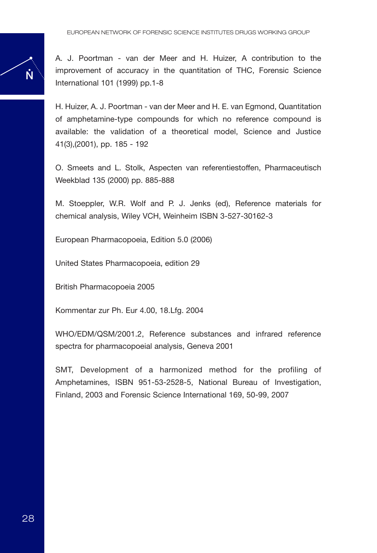A. J. Poortman - van der Meer and H. Huizer, A contribution to the improvement of accuracy in the quantitation of THC, Forensic Science International 101 (1999) pp.1-8

H. Huizer, A. J. Poortman - van der Meer and H. E. van Egmond, Quantitation of amphetamine-type compounds for which no reference compound is available: the validation of a theoretical model, Science and Justice 41(3),(2001), pp. 185 - 192

O. Smeets and L. Stolk, Aspecten van referentiestoffen, Pharmaceutisch Weekblad 135 (2000) pp. 885-888

M. Stoeppler, W.R. Wolf and P. J. Jenks (ed), Reference materials for chemical analysis, Wiley VCH, Weinheim ISBN 3-527-30162-3

European Pharmacopoeia, Edition 5.0 (2006)

United States Pharmacopoeia, edition 29

British Pharmacopoeia 2005

Kommentar zur Ph. Eur 4.00, 18.Lfg. 2004

WHO/EDM/QSM/2001.2, Reference substances and infrared reference spectra for pharmacopoeial analysis, Geneva 2001

SMT, Development of a harmonized method for the profiling of Amphetamines, ISBN 951-53-2528-5, National Bureau of Investigation, Finland, 2003 and Forensic Science International 169, 50-99, 2007

**N •**

**•**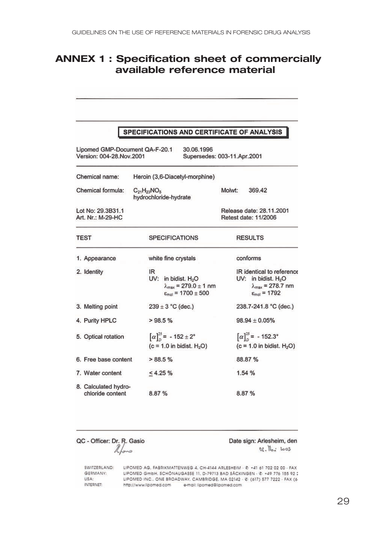### **ANNEX 1 : Specification sheet of commercially available reference material**

|                                                              | SPECIFICATIONS AND CERTIFICATE OF ANALYSIS                               |                                                                                          |        |                                                                                                                              |
|--------------------------------------------------------------|--------------------------------------------------------------------------|------------------------------------------------------------------------------------------|--------|------------------------------------------------------------------------------------------------------------------------------|
| Lipomed GMP-Document QA-F-20.1<br>Version: 004-28. Nov. 2001 |                                                                          | 30.06.1996<br>Supersedes: 003-11.Apr.2001                                                |        |                                                                                                                              |
| Chemical name:                                               | Heroin (3,6-Diacetyl-morphine)                                           |                                                                                          |        |                                                                                                                              |
| Chemical formula:                                            | $C_{21}H_{23}NO_5$<br>hydrochloride-hydrate                              |                                                                                          | Molwt: | 369.42                                                                                                                       |
| Lot No: 29.3B31.1<br>Art. Nr.: M-29-HC                       |                                                                          |                                                                                          |        | Release date: 28.11.2001<br>Retest date: 11/2006                                                                             |
| <b>TEST</b>                                                  | <b>SPECIFICATIONS</b>                                                    |                                                                                          |        | <b>RESULTS</b>                                                                                                               |
| 1. Appearance                                                | white fine crystals                                                      |                                                                                          |        | conforms                                                                                                                     |
| 2. Identity                                                  | IR<br>UV: in bidist. H <sub>2</sub> O                                    | $\lambda_{\text{max}}$ = 279.0 $\pm$ 1 nm<br>$\varepsilon_{\text{mol}}$ = 1700 $\pm$ 500 |        | IR identical to reference<br>UV: in bidist. $H_2O$<br>$\lambda_{\text{max}}$ = 278.7 nm<br>$\varepsilon_{\text{mol}}$ = 1792 |
| 3. Melting point                                             | $239 \pm 3$ °C (dec.)                                                    |                                                                                          |        | 238.7-241.8 °C (dec.)                                                                                                        |
| 4. Purity HPLC                                               | $>98.5\%$                                                                |                                                                                          |        | $98.94 \pm 0.05\%$                                                                                                           |
| 5. Optical rotation                                          | $\left[\alpha\right]_0^{25}$ = -152 ± 2°<br>$(c = 1.0$ in bidist. $H_2O$ |                                                                                          |        | $\left[\alpha\right]_0^{25}$ = -152.3°<br>$(c = 1.0$ in bidist. $H_2O$                                                       |
| 6. Free base content                                         | $> 88.5 \%$                                                              |                                                                                          |        | 88.87%                                                                                                                       |
| 7. Water content                                             | $< 4.25 \%$                                                              |                                                                                          |        | 1.54 %                                                                                                                       |
| 8. Calculated hydro-<br>chloride content                     | 8.87%                                                                    |                                                                                          |        | 8.87%                                                                                                                        |

QC - Officer: Dr. R. Gasio  $\mathbb{Z}_{\infty}$ 

Date sign: Arlesheim, den  $02.$   $\mathbb{I}_{0n}$   $1003$ 

SWITZERLAND: LIPOMED AG, FABRIKMATTENWEG 4, CH-4144 ARLESHEIM - @ +41 61 702 02 00 - FAX GERMANY: LIPOMED GmbH, SCHÓNAUGASSE 11, D-79713 BAD SÁCKINGEN - Ø +49 776 155 92 2<br>USA: LIPOMED INC., ONE BROADWAY, CAMBRIDGE, MA 02142 - Ø (617) 577 7222 - FAX (6<br>INTERNET: http://www.lipomed.com e-mail: lipomed@lipomed.c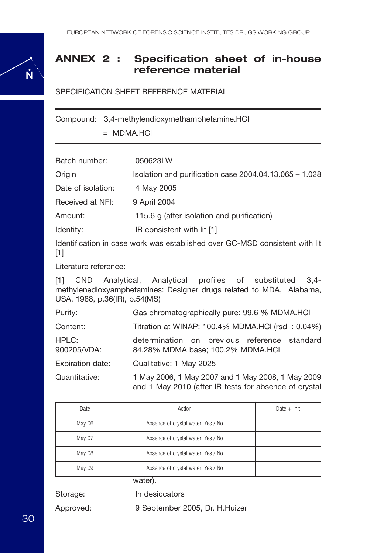

### **ANNEX 2 : Specification sheet of in-house reference material**

SPECIFICATION SHEET REFERENCE MATERIAL

Compound: 3,4-methylendioxymethamphetamine.HCl  $=$  MDMA.HCl

Batch number: 050623LW

Origin Isolation and purification case 2004.04.13.065 – 1.028

Date of isolation: 4 May 2005

Received at NFI: 9 April 2004

Amount: 115.6 g (after isolation and purification)

Identity: IR consistent with lit [1]

Identification in case work was established over GC-MSD consistent with lit [1]

Literature reference:

[1] CND Analytical, Analytical profiles of substituted 3,4 methylenedioxyamphetamines: Designer drugs related to MDA, Alabama, USA, 1988, p.36(IR), p.54(MS)

Purity: Gas chromatographically pure: 99.6 % MDMA.HCl

Content: Titration at WINAP: 100.4% MDMA.HCl (rsd : 0.04%)

HPLC: determination on previous reference standard 900205/VDA: 84.28% MDMA base; 100.2% MDMA.HCl

Expiration date: Qualitative: 1 May 2025

Quantitative: 1 May 2006, 1 May 2007 and 1 May 2008, 1 May 2009 and 1 May 2010 (after IR tests for absence of crystal

| Date   | Action                            | Date $+$ init |
|--------|-----------------------------------|---------------|
| May 06 | Absence of crystal water Yes / No |               |
| May 07 | Absence of crystal water Yes / No |               |
| May 08 | Absence of crystal water Yes / No |               |
| May 09 | Absence of crystal water Yes / No |               |
|        | water).                           |               |

Storage: In desiccators

Approved: 9 September 2005, Dr. H.Huizer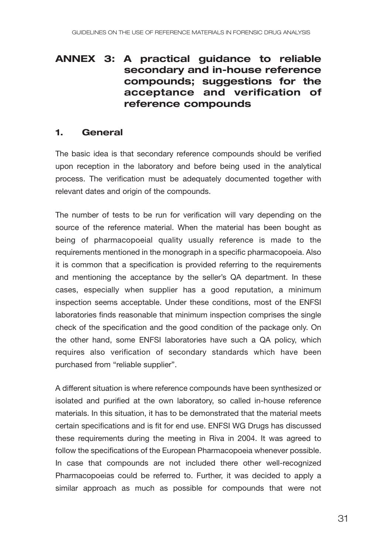### **ANNEX 3: A practical guidance to reliable secondary and in-house reference compounds; suggestions for the acceptance and verification of reference compounds**

### **1. General**

The basic idea is that secondary reference compounds should be verified upon reception in the laboratory and before being used in the analytical process. The verification must be adequately documented together with relevant dates and origin of the compounds.

The number of tests to be run for verification will vary depending on the source of the reference material. When the material has been bought as being of pharmacopoeial quality usually reference is made to the requirements mentioned in the monograph in a specific pharmacopoeia. Also it is common that a specification is provided referring to the requirements and mentioning the acceptance by the seller's QA department. In these cases, especially when supplier has a good reputation, a minimum inspection seems acceptable. Under these conditions, most of the ENFSI laboratories finds reasonable that minimum inspection comprises the single check of the specification and the good condition of the package only. On the other hand, some ENFSI laboratories have such a QA policy, which requires also verification of secondary standards which have been purchased from "reliable supplier".

A different situation is where reference compounds have been synthesized or isolated and purified at the own laboratory, so called in-house reference materials. In this situation, it has to be demonstrated that the material meets certain specifications and is fit for end use. ENFSI WG Drugs has discussed these requirements during the meeting in Riva in 2004. It was agreed to follow the specifications of the European Pharmacopoeia whenever possible. In case that compounds are not included there other well-recognized Pharmacopoeias could be referred to. Further, it was decided to apply a similar approach as much as possible for compounds that were not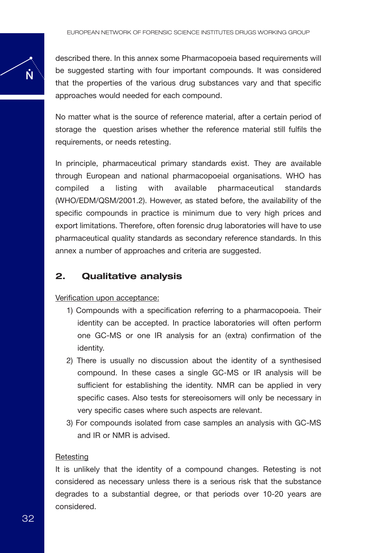described there. In this annex some Pharmacopoeia based requirements will be suggested starting with four important compounds. It was considered that the properties of the various drug substances vary and that specific approaches would needed for each compound.

No matter what is the source of reference material, after a certain period of storage the question arises whether the reference material still fulfils the requirements, or needs retesting.

In principle, pharmaceutical primary standards exist. They are available through European and national pharmacopoeial organisations. WHO has compiled a listing with available pharmaceutical standards (WHO/EDM/QSM/2001.2). However, as stated before, the availability of the specific compounds in practice is minimum due to very high prices and export limitations. Therefore, often forensic drug laboratories will have to use pharmaceutical quality standards as secondary reference standards. In this annex a number of approaches and criteria are suggested.

#### **2. Qualitative analysis**

Verification upon acceptance:

- 1) Compounds with a specification referring to a pharmacopoeia. Their identity can be accepted. In practice laboratories will often perform one GC-MS or one IR analysis for an (extra) confirmation of the identity.
- 2) There is usually no discussion about the identity of a synthesised compound. In these cases a single GC-MS or IR analysis will be sufficient for establishing the identity. NMR can be applied in very specific cases. Also tests for stereoisomers will only be necessary in very specific cases where such aspects are relevant.
- 3) For compounds isolated from case samples an analysis with GC-MS and IR or NMR is advised.

#### **Retesting**

It is unlikely that the identity of a compound changes. Retesting is not considered as necessary unless there is a serious risk that the substance degrades to a substantial degree, or that periods over 10-20 years are considered.

**N •**

**•**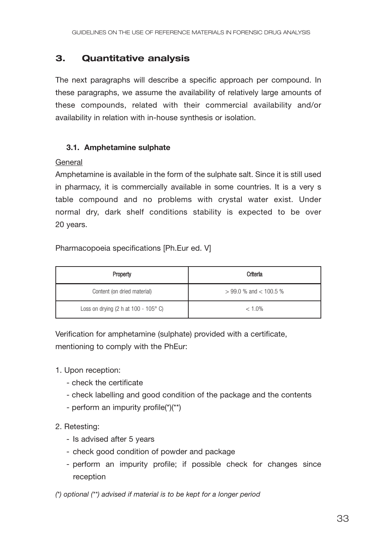### **3. Quantitative analysis**

The next paragraphs will describe a specific approach per compound. In these paragraphs, we assume the availability of relatively large amounts of these compounds, related with their commercial availability and/or availability in relation with in-house synthesis or isolation.

#### **3.1. Amphetamine sulphate**

#### General

Amphetamine is available in the form of the sulphate salt. Since it is still used in pharmacy, it is commercially available in some countries. It is a very s table compound and no problems with crystal water exist. Under normal dry, dark shelf conditions stability is expected to be over 20 years.

Pharmacopoeia specifications [Ph.Eur ed. V]

| Property                                    | Criteria                   |
|---------------------------------------------|----------------------------|
| Content (on dried material)                 | $>$ 99.0 % and $<$ 100.5 % |
| Loss on drying (2 h at $100 - 105^\circ$ C) | $< 1.0\%$                  |

Verification for amphetamine (sulphate) provided with a certificate, mentioning to comply with the PhEur:

#### 1. Upon reception:

- check the certificate
- check labelling and good condition of the package and the contents
- perform an impurity profile(\*)(\*\*)

#### 2. Retesting:

- Is advised after 5 years
- check good condition of powder and package
- perform an impurity profile; if possible check for changes since reception

(\*) optional (\*\*) advised if material is to be kept for a longer period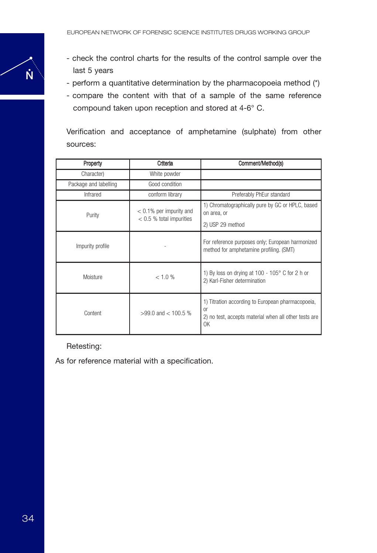- **N • •**
- check the control charts for the results of the control sample over the last 5 years
- perform a quantitative determination by the pharmacopoeia method (\*)
- compare the content with that of a sample of the same reference compound taken upon reception and stored at 4-6° C.

Verification and acceptance of amphetamine (sulphate) from other sources:

| Property                   | Criteria                                                 | Comment/Method(s)                                                                                                                        |
|----------------------------|----------------------------------------------------------|------------------------------------------------------------------------------------------------------------------------------------------|
| Character)<br>White powder |                                                          |                                                                                                                                          |
| Package and labelling      | Good condition                                           |                                                                                                                                          |
| Infrared                   | conform library                                          | Preferably PhEur standard                                                                                                                |
| Purity                     | $< 0.1\%$ per impurity and<br>$< 0.5$ % total impurities | 1) Chromatographically pure by GC or HPLC, based<br>on area, or<br>2) USP 29 method                                                      |
| Impurity profile           |                                                          | For reference purposes only; European harmonized<br>method for amphetamine profiling. (SMT)                                              |
| Moisture                   | < 1.0 %                                                  | 1) By loss on drying at $100 - 105^\circ$ C for 2 h or<br>2) Karl-Fisher determination                                                   |
| Content                    | $>99.0$ and $< 100.5$ %                                  | 1) Titration according to European pharmacopoeia,<br><sub>0r</sub><br>2) no test, accepts material when all other tests are<br><b>OK</b> |

Retesting:

As for reference material with a specification.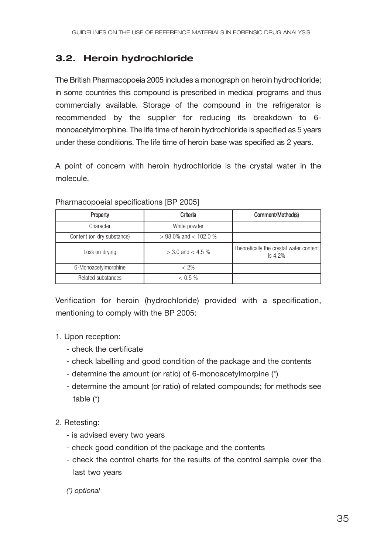### **3.2. Heroin hydrochloride**

The British Pharmacopoeia 2005 includes a monograph on heroin hydrochloride; in some countries this compound is prescribed in medical programs and thus commercially available. Storage of the compound in the refrigerator is recommended by the supplier for reducing its breakdown to 6 monoacetylmorphine. The life time of heroin hydrochloride is specified as 5 years under these conditions. The life time of heroin base was specified as 2 years.

A point of concern with heroin hydrochloride is the crystal water in the molecule.

| Property                   | Criteria                   | Comment/Method(s)                                    |
|----------------------------|----------------------------|------------------------------------------------------|
| Character                  | White powder               |                                                      |
| Content (on dry substance) | $> 98.0\%$ and $< 102.0\%$ |                                                      |
| Loss on drying             | $>$ 3.0 and $<$ 4.5 %      | Theoretically the crystal water content<br>is $4.2%$ |
| 6-Monoacetylmorphine       | $< 2\%$                    |                                                      |
| Related substances         | $< 0.5 \%$                 |                                                      |

#### Pharmacopoeial specifications [BP 2005]

Verification for heroin (hydrochloride) provided with a specification, mentioning to comply with the BP 2005:

- 1. Upon reception:
	- check the certificate
	- check labelling and good condition of the package and the contents
	- determine the amount (or ratio) of 6-monoacetylmorpine (\*)
	- determine the amount (or ratio) of related compounds; for methods see table (\*)

### 2. Retesting:

- is advised every two years
- check good condition of the package and the contents
- check the control charts for the results of the control sample over the last two years

(\*) optional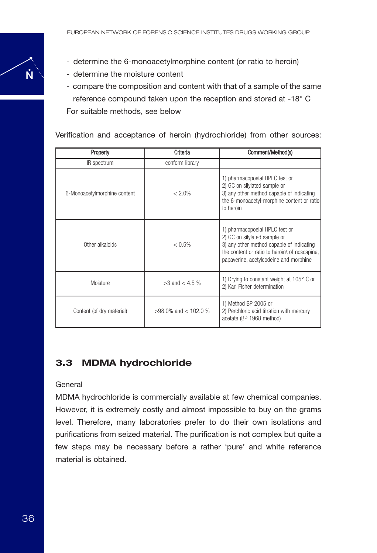- **N • •**
- determine the 6-monoacetylmorphine content (or ratio to heroin)
- determine the moisture content
- compare the composition and content with that of a sample of the same reference compound taken upon the reception and stored at -18° C For suitable methods, see below

Verification and acceptance of heroin (hydrochloride) from other sources:

| Property                     | Criteria                  | Comment/Method(s)                                                                                                                                                                                      |
|------------------------------|---------------------------|--------------------------------------------------------------------------------------------------------------------------------------------------------------------------------------------------------|
| IR spectrum                  | conform library           |                                                                                                                                                                                                        |
| 6-Monoacetylmorphine content | $< 2.0\%$                 | 1) pharmacopoeial HPLC test or<br>2) GC on silylated sample or<br>3) any other method capable of indicating<br>the 6-monoacetyl-morphine content or ratio<br>to heroin                                 |
| Other alkaloids              | $< 0.5\%$                 | 1) pharmacopoeial HPLC test or<br>2) GC on silylated sample or<br>3) any other method capable of indicating<br>the content or ratio to heroin\ of noscapine,<br>papaverine, acetylcodeine and morphine |
| Moisture                     | $>3$ and $< 4.5$ %        | 1) Drying to constant weight at $105^{\circ}$ C or<br>2) Karl Fisher determination                                                                                                                     |
| Content (of dry material)    | $>98.0\%$ and $< 102.0\%$ | 1) Method BP 2005 or<br>2) Perchloric acid titration with mercury<br>acetate (BP 1968 method)                                                                                                          |

### **3.3 MDMA hydrochloride**

#### **General**

MDMA hydrochloride is commercially available at few chemical companies. However, it is extremely costly and almost impossible to buy on the grams level. Therefore, many laboratories prefer to do their own isolations and purifications from seized material. The purification is not complex but quite a few steps may be necessary before a rather 'pure' and white reference material is obtained.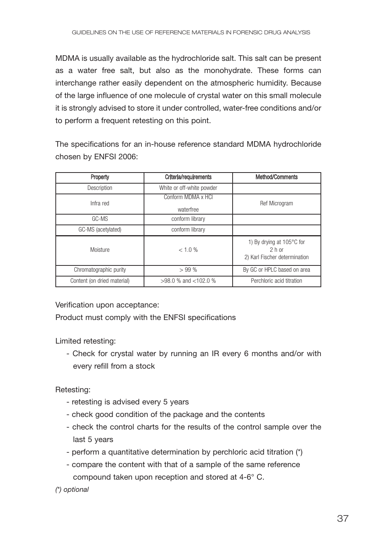MDMA is usually available as the hydrochloride salt. This salt can be present as a water free salt, but also as the monohydrate. These forms can interchange rather easily dependent on the atmospheric humidity. Because of the large influence of one molecule of crystal water on this small molecule it is strongly advised to store it under controlled, water-free conditions and/or to perform a frequent retesting on this point.

The specifications for an in-house reference standard MDMA hydrochloride chosen by ENFSI 2006:

| Property                    | Criteria/requirements           | Method/Comments                                                                 |
|-----------------------------|---------------------------------|---------------------------------------------------------------------------------|
| Description                 | White or off-white powder       |                                                                                 |
| Infra red                   | Conform MDMA x HCI<br>waterfree | Ref Microgram                                                                   |
| GC-MS                       | conform library                 |                                                                                 |
| GC-MS (acetylated)          | conform library                 |                                                                                 |
| Moisture                    | $< 1.0 \%$                      | 1) By drying at $105^{\circ}$ C for<br>$2h$ or<br>2) Karl Fischer determination |
| Chromatographic purity      | $>99\%$                         | By GC or HPLC based on area                                                     |
| Content (on dried material) | $>98.0$ % and $<$ 102.0 %       | Perchloric acid titration                                                       |

Verification upon acceptance:

Product must comply with the ENFSI specifications

Limited retesting:

- Check for crystal water by running an IR every 6 months and/or with every refill from a stock

Retesting:

- retesting is advised every 5 years
- check good condition of the package and the contents
- check the control charts for the results of the control sample over the last 5 years
- perform a quantitative determination by perchloric acid titration (\*)
- compare the content with that of a sample of the same reference compound taken upon reception and stored at 4-6° C.

(\*) optional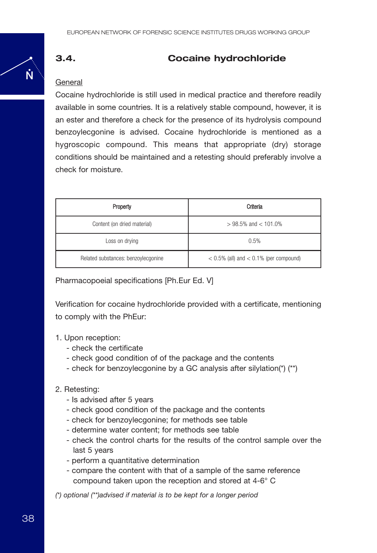**N •**

**•**

### **3.4. Cocaine hydrochloride**

#### General

Cocaine hydrochloride is still used in medical practice and therefore readily available in some countries. It is a relatively stable compound, however, it is an ester and therefore a check for the presence of its hydrolysis compound benzoylecgonine is advised. Cocaine hydrochloride is mentioned as a hygroscopic compound. This means that appropriate (dry) storage conditions should be maintained and a retesting should preferably involve a check for moisture.

| Property                            | Criteria                                     |
|-------------------------------------|----------------------------------------------|
| Content (on dried material)         | $> 98.5\%$ and $< 101.0\%$                   |
| Loss on drying                      | 0.5%                                         |
| Related substances: benzoylecgonine | $< 0.5\%$ (all) and $< 0.1\%$ (per compound) |

Pharmacopoeial specifications [Ph.Eur Ed. V]

Verification for cocaine hydrochloride provided with a certificate, mentioning to comply with the PhEur:

#### 1. Upon reception:

- check the certificate
- check good condition of of the package and the contents
- check for benzoylecgonine by a GC analysis after silylation(\*) (\*\*)

#### 2. Retesting:

- Is advised after 5 years
- check good condition of the package and the contents
- check for benzoylecgonine; for methods see table
- determine water content; for methods see table
- check the control charts for the results of the control sample over the last 5 years
- perform a quantitative determination
- compare the content with that of a sample of the same reference compound taken upon the reception and stored at 4-6° C

(\*) optional (\*\*)advised if material is to be kept for a longer period